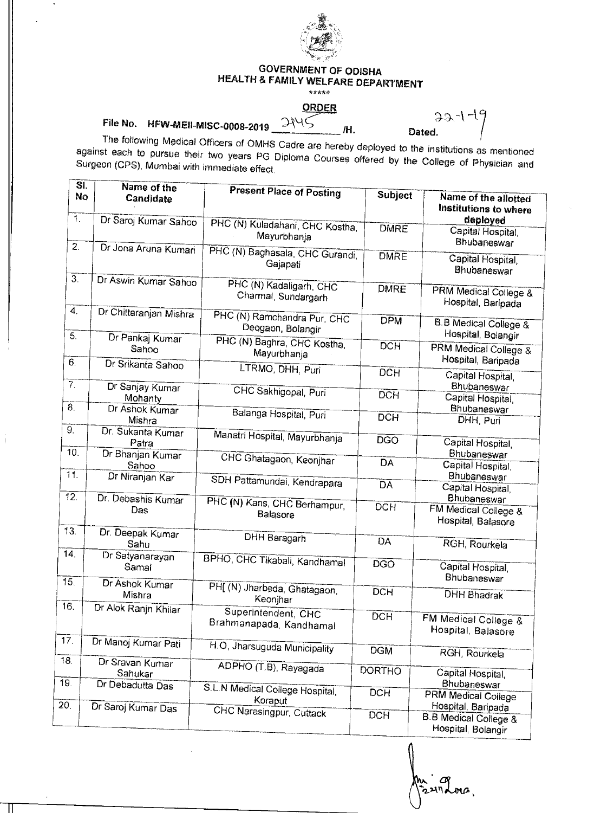

## **GOVERNMENT OF ODISHA HEALTH & FAMILY WELFARE DEPARTMENT**

## **7.\_\_\_ ORDER**

**File No. HFW-MEII-MISC-0008-2019** 

II I

**/H.** 

 $32-1-19$ <br>Dated.

The following Medical Officers of OMHS Cadre are hereby deployed to the institutions as mentioned against each to pursue their two years PG Diploma Courses offered by the College of Physician and Surgeon (CPS), Mumbai with immediate effect

| $\overline{\mathsf{SI}}$<br>No       | Name of the<br>Candidate             | <b>Present Place of Posting</b>                         | <b>Subject</b>          | Name of the allotted<br>Institutions to where                                  |
|--------------------------------------|--------------------------------------|---------------------------------------------------------|-------------------------|--------------------------------------------------------------------------------|
| $\mathbf{1}$                         | Dr Saroj Kumar Sahoo                 | PHC (N) Kuladahani, CHC Kostha,<br>Mayurbhanja          | <b>DMRE</b>             | deployed<br>Capital Hospital,<br>Bhubaneswar                                   |
| $\overline{2}$ .<br>$\overline{3}$ . | Dr Jona Aruna Kumari                 | PHC (N) Baghasala, CHC Gurandi,<br>Gajapati             | <b>DMRE</b>             | Capital Hospital,<br>Bhubaneswar                                               |
|                                      | Dr Aswin Kumar Sahoo                 | PHC (N) Kadaligarh, CHC<br>Charmal, Sundargarh          | <b>DMRE</b>             | PRM Medical College &<br>Hospital, Baripada                                    |
| $\boldsymbol{4}$ .                   | Dr Chittaranjan Mishra               | PHC (N) Ramchandra Pur, CHC<br>Deogaon, Bolangir        | <b>DPM</b>              | <b>B.B Medical College &amp;</b>                                               |
| 5.<br>6.                             | Dr Pankaj Kumar<br>Sahoo             | PHC (N) Baghra, CHC Kostha,<br>Mayurbhanja              | <b>DCH</b>              | Hospital, Bolangir<br><b>PRM Medical College &amp;</b><br>Hospital, Baripada   |
| $\overline{7}$ .                     | Dr Srikanta Sahoo<br>Dr Sanjay Kumar | LTRMO, DHH, Puri                                        | <b>DCH</b>              | Capital Hospital,<br>Bhubaneswar                                               |
| $\overline{8}$                       | Mohanty<br>Dr Ashok Kumar            | CHC Sakhigopal, Puri                                    | <b>DCH</b>              | Capital Hospital,<br>Bhubaneswar                                               |
| 9.                                   | Mishra<br>Dr. Sukanta Kumar          | Balanga Hospital, Puri<br>Manatri Hospital, Mayurbhanja | <b>DCH</b>              | DHH, Puri                                                                      |
| 10.                                  | Patra<br>Dr Bhanjan Kumar            | CHC Ghatagaon, Keonjhar                                 | <b>DGO</b><br><b>DA</b> | Capital Hospital,<br>Bhubaneswar                                               |
| 11.                                  | Sahoo<br>Dr Niranjan Kar             | SDH Pattamundai, Kendrapara                             | <b>DA</b>               | Capital Hospital,<br>Bhubaneswar                                               |
| $\overline{12}$                      | Dr. Debashis Kumar<br>Das            | PHC (N) Kans, CHC Berhampur,<br>Balasore                | <b>DCH</b>              | Capital Hospital,<br>Bhubaneswar<br>FM Medical College &<br>Hospital, Balasore |
| 13.                                  | Dr. Deepak Kumar<br>Sahu             | DHH Baragarh                                            | DA                      | RGH, Rourkela                                                                  |
| 14.                                  | Dr Satyanarayan<br>Samal             | BPHO, CHC Tikabali, Kandhamal                           | <b>DGO</b>              | Capital Hospital,<br>Bhubaneswar                                               |
| 15.<br>16.                           | Dr Ashok Kumar<br>Mishra             | PH[ (N) Jharbeda, Ghatagaon,<br>Keonjhar                | <b>DCH</b>              | <b>DHH Bhadrak</b>                                                             |
|                                      | Dr Alok Ranjn Khilar                 | Superintendent, CHC<br>Brahmanapada, Kandhamal          | <b>DCH</b>              | FM Medical College &<br>Hospital, Balasore                                     |
| 17 <sub>1</sub>                      | Dr Manoj Kumar Pati                  | H.O, Jharsuguda Municipality                            | <b>DGM</b>              | RGH, Rourkela                                                                  |
| 18.<br>19.                           | Dr Sravan Kumar<br>Sahukar           | ADPHO (T.B), Rayagada                                   | <b>DORTHO</b>           | Capital Hospital,                                                              |
| $\overline{20}$                      | Dr Debadutta Das                     | S.L.N Medical College Hospital,<br>Koraput              | <b>DCH</b>              | Bhubaneswar<br><b>PRM Medical College</b><br>Hospital, Baripada                |
|                                      | Dr Saroj Kumar Das                   | CHC Narasingpur, Cuttack                                | <b>DCH</b>              | <b>B.B Medical College &amp;</b><br>Hospital, Bolangir                         |

œ iz2111 dona.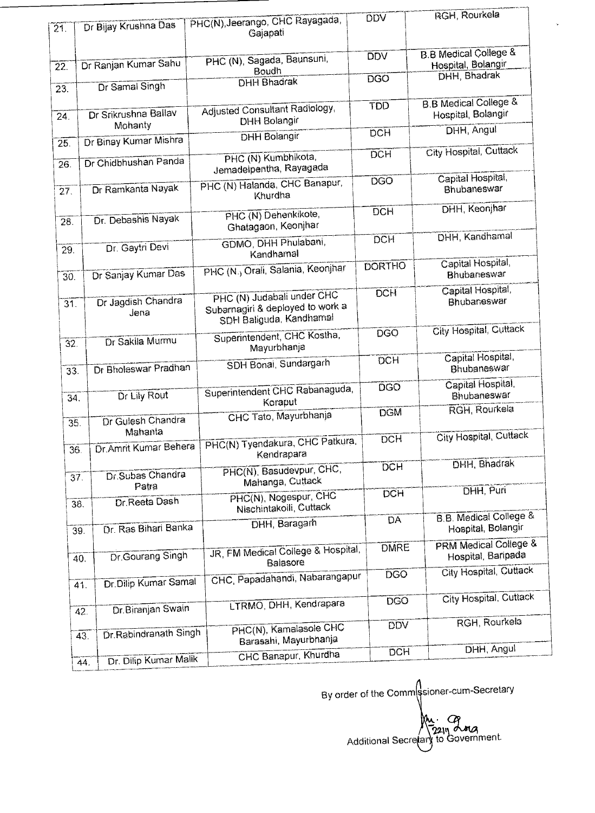| $\overline{21}$   | Dr Bijay Krushna Das             | PHC(N), Jeerango, CHC Rayagada,                                                           | DDV           | RGH, Rourkela                                           |
|-------------------|----------------------------------|-------------------------------------------------------------------------------------------|---------------|---------------------------------------------------------|
|                   |                                  | Gajapati                                                                                  |               |                                                         |
| $\overline{22}$ . | Dr Ranjan Kumar Sahu             | PHC (N), Sagada, Baunsuni,<br>Boudh                                                       | <b>DDV</b>    | <b>B.B Medical College &amp;</b><br>Hospital, Bolangir  |
| 23.               | Dr Samal Singh                   | <b>DHH Bhadrak</b>                                                                        | <b>DGO</b>    | <b>DHH, Bhadrak</b>                                     |
| 24.               | Dr Srikrushna Ballav             | <b>Adjusted Consultant Radiology,</b><br>DHH Bolangir                                     | <b>TDD</b>    | <b>B.B Medical College &amp;</b><br>Hospital, Bolangir  |
| $\overline{25}$ . | Mohanty<br>Dr Binay Kumar Mishra | <b>DHH Bolangir</b>                                                                       | <b>DCH</b>    | DHH, Angul                                              |
| $\overline{26}$   | Dr Chidbhushan Panda             | PHC (N) Kumbhikota,<br>Jemadelpentha, Rayagada                                            | <b>DCH</b>    | City Hospital, Cuttack                                  |
| 27.               | Dr Ramkanta Nayak                | PHC (N) Halanda, CHC Banapur,<br>Khurdha                                                  | <b>DGO</b>    | Capital Hospital,<br>Bhubaneswar                        |
| 28.               | Dr. Debashis Nayak               | PHC (N) Dehenkikote,<br>Ghatagaon, Keonjhar                                               | <b>DCH</b>    | DHH, Keonjhar                                           |
| 29.               | Dr. Gaytri Devi                  | GDMO, DHH Phulabani,<br>Kandhamal                                                         | <b>DCH</b>    | DHH, Kandhamal                                          |
| 30.               | Dr Sanjay Kumar Das              | PHC (N.) Orali, Salania, Keonjhar                                                         | <b>DORTHO</b> | Capital Hospital,<br><b>Bhubaneswar</b>                 |
| $\overline{31}$   | Dr Jagdish Chandra<br>Jena       | PHC (N) Judabali under CHC<br>Subarnagiri & deployed to work a<br>SDH Baliguda, Kandhamal | <b>DCH</b>    | Capital Hospital,<br>Bhubaneswar                        |
| $\overline{32}$   | Dr Sakila Murmu                  | Superintendent, CHC Kostha,<br>Mayurbhanja                                                | <b>DGQ</b>    | City Hospital, Cuttack                                  |
| 33.               | Dr Bholeswar Pradhan             | SDH Bonai, Sundargarh                                                                     | <b>DCH</b>    | Capital Hospital,<br>Bhubaneswar                        |
| 34.               | Dr Lily Rout                     | Superintendent CHC Rabanaguda,<br>Koraput                                                 | <b>DGO</b>    | Capital Hospital,<br>Bhubaneswar                        |
| $\overline{35}$ . | Dr Gulesh Chandra<br>Mahanta     | CHC Tato, Mayurbhanja                                                                     | <b>DGM</b>    | RGH, Rourkela                                           |
| 36.               |                                  | Dr. Amrit Kumar Behera   PHC(N) Tyendakura, CHC Patkura,<br>Kendrapara                    | <b>DCH</b>    | City Hospital, Cuttack                                  |
| 37.               | Dr.Subas Chandra<br>Patra        | PHC(N), Basudevpur, CHC,<br>Mahanga, Cuttack                                              | <b>DCH</b>    | <b>DHH</b> , Bhadrak                                    |
| 38.               | Dr. Reeta Dash                   | PHC(N), Nogespur, CHC<br>Nischintakoili, Cuttack                                          | <b>DCH</b>    | DHH, Puri                                               |
| 39.               | Dr. Ras Bihari Banka             | DHH, Baragarh                                                                             | <b>DA</b>     | <b>B.B. Medical College &amp;</b><br>Hospital, Bolangir |
| 40.               | Dr.Gourang Singh                 | JR, FM Medical College & Hospital,<br>Balasore                                            | <b>DMRE</b>   | PRM Medical College &<br>Hospital, Baripada             |
|                   | Dr. Dilip Kumar Samal<br>41.     | CHC, Papadahandi, Nabarangapur                                                            | <b>DGO</b>    | City Hospital, Cuttack                                  |
|                   | Dr. Biranjan Swain<br>42.        | LTRMO, DHH, Kendrapara                                                                    | <b>DGO</b>    | City Hospital, Cuttack                                  |
|                   | Dr. Rabindranath Singh<br>43.    | PHC(N), Kamalasole CHC<br>Barasahi, Mayurbhanja                                           | <b>DDV</b>    | RGH, Rourkela                                           |
|                   | Dr. Dilip Kumar Malik<br>44.     | CHC Banapur, Khurdha                                                                      | <b>DCH</b>    | DHH, Angul                                              |

By order of the Commssioner-cum-Secretary Additional Secretary to Government.